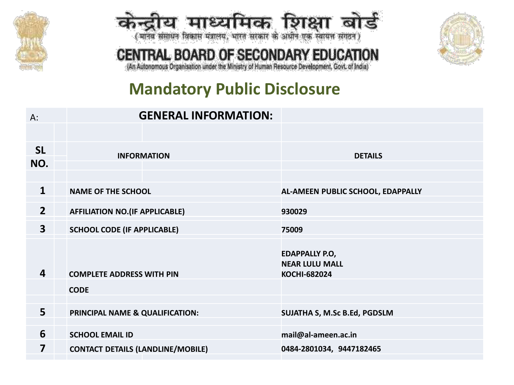



# CENTRAL BOARD OF SECONDARY EDUCATION



(An Autonomous Organisation under the Ministry of Human Resource Development, Govt. of India)

# **Mandatory Public Disclosure**

| A:                      | <b>GENERAL INFORMATION:</b>              |                                                                       |
|-------------------------|------------------------------------------|-----------------------------------------------------------------------|
|                         |                                          |                                                                       |
| <b>SL</b>               | <b>INFORMATION</b>                       | <b>DETAILS</b>                                                        |
| NO.                     |                                          |                                                                       |
|                         |                                          |                                                                       |
| $\mathbf{1}$            | <b>NAME OF THE SCHOOL</b>                | AL-AMEEN PUBLIC SCHOOL, EDAPPALLY                                     |
| $\overline{2}$          | <b>AFFILIATION NO.(IF APPLICABLE)</b>    | 930029                                                                |
| $\overline{\mathbf{3}}$ | <b>SCHOOL CODE (IF APPLICABLE)</b>       | 75009                                                                 |
| $\overline{4}$          | <b>COMPLETE ADDRESS WITH PIN</b>         | <b>EDAPPALLY P.O.</b><br><b>NEAR LULU MALL</b><br><b>KOCHI-682024</b> |
|                         | <b>CODE</b>                              |                                                                       |
|                         |                                          |                                                                       |
| 5                       | PRINCIPAL NAME & QUALIFICATION:          | SUJATHA S, M.Sc B.Ed, PGDSLM                                          |
|                         |                                          |                                                                       |
| 6                       | <b>SCHOOL EMAIL ID</b>                   | mail@al-ameen.ac.in                                                   |
| 7                       | <b>CONTACT DETAILS (LANDLINE/MOBILE)</b> | 0484-2801034, 9447182465                                              |
|                         |                                          |                                                                       |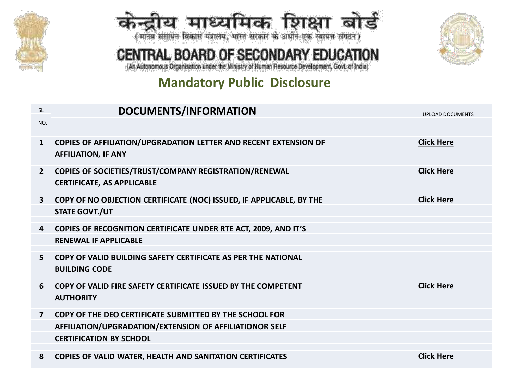



# CENTRAL BOARD OF SECONDARY EDUCATION



(An Autonomous Organisation under the Ministry of Human Resource Development, Govt. of India)

## **Mandatory Public Disclosure**

| <b>SL</b>      | DOCUMENTS/INFORMATION                                                   | <b>UPLOAD DOCUMENTS</b> |
|----------------|-------------------------------------------------------------------------|-------------------------|
| NO.            |                                                                         |                         |
|                |                                                                         |                         |
| $\mathbf{1}$   | <b>COPIES OF AFFILIATION/UPGRADATION LETTER AND RECENT EXTENSION OF</b> | <b>Click Here</b>       |
|                | <b>AFFILIATION, IF ANY</b>                                              |                         |
| $\mathbf{2}$   | <b>COPIES OF SOCIETIES/TRUST/COMPANY REGISTRATION/RENEWAL</b>           | <b>Click Here</b>       |
|                | <b>CERTIFICATE, AS APPLICABLE</b>                                       |                         |
|                |                                                                         |                         |
| $\mathbf{3}$   | COPY OF NO OBJECTION CERTIFICATE (NOC) ISSUED, IF APPLICABLE, BY THE    | <b>Click Here</b>       |
|                | <b>STATE GOVT./UT</b>                                                   |                         |
|                |                                                                         |                         |
| 4              | COPIES OF RECOGNITION CERTIFICATE UNDER RTE ACT, 2009, AND IT'S         |                         |
|                | <b>RENEWAL IF APPLICABLE</b>                                            |                         |
| 5.             | COPY OF VALID BUILDING SAFETY CERTIFICATE AS PER THE NATIONAL           |                         |
|                | <b>BUILDING CODE</b>                                                    |                         |
|                |                                                                         |                         |
| 6              | COPY OF VALID FIRE SAFETY CERTIFICATE ISSUED BY THE COMPETENT           | <b>Click Here</b>       |
|                | <b>AUTHORITY</b>                                                        |                         |
| $\overline{7}$ | COPY OF THE DEO CERTIFICATE SUBMITTED BY THE SCHOOL FOR                 |                         |
|                |                                                                         |                         |
|                | AFFILIATION/UPGRADATION/EXTENSION OF AFFILIATIONOR SELF                 |                         |
|                | <b>CERTIFICATION BY SCHOOL</b>                                          |                         |
| 8              | <b>COPIES OF VALID WATER, HEALTH AND SANITATION CERTIFICATES</b>        | <b>Click Here</b>       |
|                |                                                                         |                         |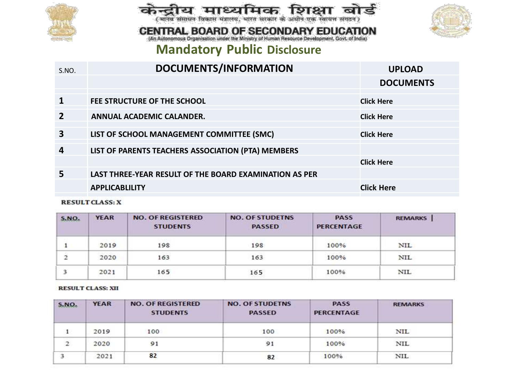





# **CENTRAL BOARD OF SECONDARY EDUCATION**<br>(An Autonomous Organisation under the Ministry of Human Resource Development, Govt. of India)

### **Mandatory Public Disclosure**

| S.NO.          | DOCUMENTS/INFORMATION                                  | <b>UPLOAD</b>     |
|----------------|--------------------------------------------------------|-------------------|
|                |                                                        | <b>DOCUMENTS</b>  |
| $\mathbf{1}$   | FEE STRUCTURE OF THE SCHOOL                            | <b>Click Here</b> |
| $\overline{2}$ | ANNUAL ACADEMIC CALANDER.                              | <b>Click Here</b> |
| 3              | LIST OF SCHOOL MANAGEMENT COMMITTEE (SMC)              | <b>Click Here</b> |
| 4              | LIST OF PARENTS TEACHERS ASSOCIATION (PTA) MEMBERS     |                   |
|                |                                                        | <b>Click Here</b> |
| 5              | LAST THREE-YEAR RESULT OF THE BOARD EXAMINATION AS PER |                   |
|                | <b>APPLICABLILITY</b>                                  | <b>Click Here</b> |
|                |                                                        |                   |

#### **RESULT CLASS: X**

| S.NO. | <b>YEAR</b> | <b>NO. OF REGISTERED</b><br><b>STUDENTS</b> | <b>NO. OF STUDETNS</b><br><b>PASSED</b> | <b>PASS</b><br><b>PERCENTAGE</b> | <b>REMARKS</b> |
|-------|-------------|---------------------------------------------|-----------------------------------------|----------------------------------|----------------|
|       | 2019        | 198                                         | 198                                     | 100%                             | NIL            |
| 2     | 2020        | 163                                         | 163                                     | 100%                             | <b>NIL</b>     |
| 3     | 2021        | 165                                         | 165                                     | 100%                             | <b>NIL</b>     |

#### **RESULT CLASS: XII**

| S.NO.          | <b>YEAR</b> | <b>NO. OF REGISTERED</b><br><b>STUDENTS</b> | <b>NO. OF STUDETNS</b><br><b>PASSED</b> | <b>PASS</b><br><b>PERCENTAGE</b> | <b>REMARKS</b> |
|----------------|-------------|---------------------------------------------|-----------------------------------------|----------------------------------|----------------|
|                | 2019        | 100                                         | 100                                     | 100%                             | <b>NIL</b>     |
| $\overline{c}$ | 2020        | 91                                          | 91                                      | 100%                             | NIL            |
|                | 2021        | 82                                          | 82                                      | 100%                             | <b>NIL</b>     |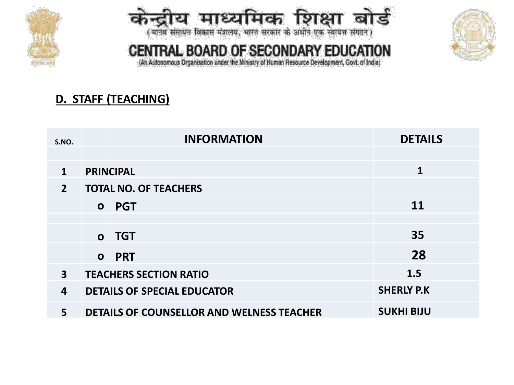



# CENTRAL BOARD OF SECONDARY EDUCATION

(An Autonomous Organisation under the Ministry of Human Resource Development, Govt. of India)

## **D. STAFF (TEACHING)**

| S.NO.                   |                  | <b>INFORMATION</b>                               | <b>DETAILS</b>    |
|-------------------------|------------------|--------------------------------------------------|-------------------|
|                         |                  |                                                  |                   |
| $\mathbf{1}$            | <b>PRINCIPAL</b> |                                                  | 1                 |
| $\overline{2}$          |                  | <b>TOTAL NO. OF TEACHERS</b>                     |                   |
|                         |                  | o PGT                                            | <b>11</b>         |
|                         |                  |                                                  |                   |
|                         |                  | o TGT                                            | 35                |
|                         |                  | <b>O</b> PRT                                     | 28                |
| $\overline{\mathbf{3}}$ |                  | <b>TEACHERS SECTION RATIO</b>                    | 1.5               |
| 4                       |                  | <b>DETAILS OF SPECIAL EDUCATOR</b>               | <b>SHERLY P.K</b> |
| 5                       |                  | <b>DETAILS OF COUNSELLOR AND WELNESS TEACHER</b> | <b>SUKHI BIJU</b> |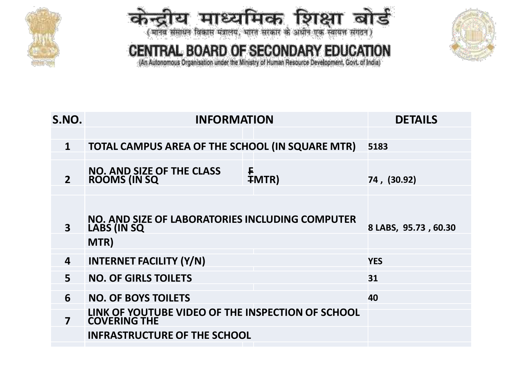





CENTRAL BOARD OF SECONDARY EDUCATION (An Autonomous Organisation under the Ministry of Human Resource Development, Govt. of India)

| S.NO.          | <b>INFORMATION</b>                                                            | <b>DETAILS</b>       |
|----------------|-------------------------------------------------------------------------------|----------------------|
| $\mathbf{1}$   | TOTAL CAMPUS AREA OF THE SCHOOL (IN SQUARE MTR)                               | 5183                 |
|                |                                                                               |                      |
| $\overline{2}$ | <b>NO. AND SIZE OF THE CLASS</b><br>F<br><b>ROOMS (IN SQ)</b><br><b>∓MTR)</b> | 74, (30.92)          |
| 3              | NO. AND SIZE OF LABORATORIES INCLUDING COMPUTER<br>LABS (IN SQ                | 8 LABS, 95.73, 60.30 |
|                | MTR)                                                                          |                      |
| 4              | <b>INTERNET FACILITY (Y/N)</b>                                                | <b>YES</b>           |
| 5              | <b>NO. OF GIRLS TOILETS</b>                                                   | 31                   |
| 6              | <b>NO. OF BOYS TOILETS</b>                                                    | 40                   |
| 7              | LINK OF YOUTUBE VIDEO OF THE INSPECTION OF SCHOOL<br><b>COVERING THE</b>      |                      |
|                | <b>INFRASTRUCTURE OF THE SCHOOL</b>                                           |                      |
|                |                                                                               |                      |